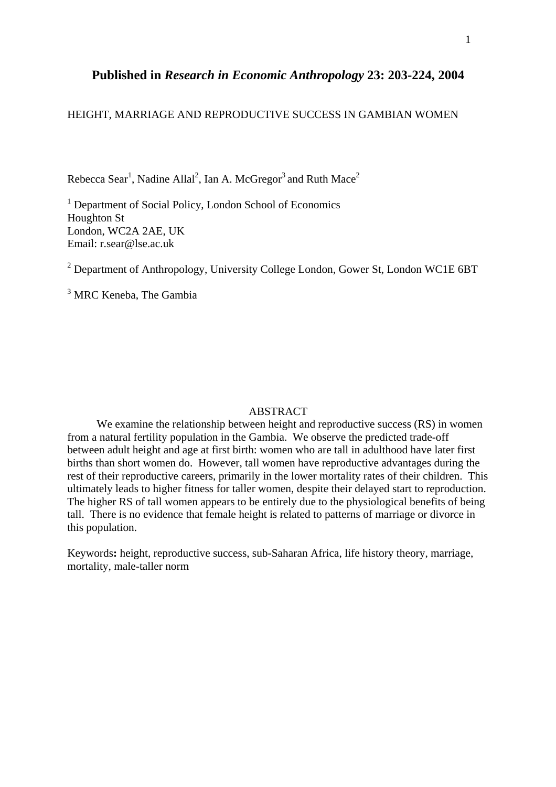# **Published in** *Research in Economic Anthropology* **23: 203-224, 2004**

## HEIGHT, MARRIAGE AND REPRODUCTIVE SUCCESS IN GAMBIAN WOMEN

Rebecca Sear<sup>1</sup>, Nadine Allal<sup>2</sup>, Ian A. McGregor<sup>3</sup> and Ruth Mace<sup>2</sup>

<sup>1</sup> Department of Social Policy, London School of Economics Houghton St London, WC2A 2AE, UK Email: r.sear@lse.ac.uk

<sup>2</sup> Department of Anthropology, University College London, Gower St, London WC1E 6BT

<sup>3</sup> MRC Keneba, The Gambia

## ABSTRACT

We examine the relationship between height and reproductive success (RS) in women from a natural fertility population in the Gambia. We observe the predicted trade-off between adult height and age at first birth: women who are tall in adulthood have later first births than short women do. However, tall women have reproductive advantages during the rest of their reproductive careers, primarily in the lower mortality rates of their children. This ultimately leads to higher fitness for taller women, despite their delayed start to reproduction. The higher RS of tall women appears to be entirely due to the physiological benefits of being tall. There is no evidence that female height is related to patterns of marriage or divorce in this population.

Keywords**:** height, reproductive success, sub-Saharan Africa, life history theory, marriage, mortality, male-taller norm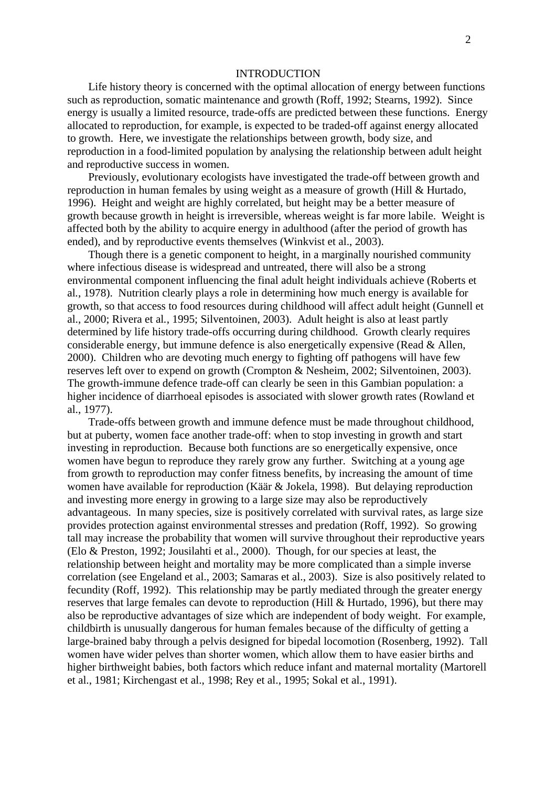#### INTRODUCTION

Life history theory is concerned with the optimal allocation of energy between functions such as reproduction, somatic maintenance and growth (Roff, 1992; Stearns, 1992). Since energy is usually a limited resource, trade-offs are predicted between these functions. Energy allocated to reproduction, for example, is expected to be traded-off against energy allocated to growth. Here, we investigate the relationships between growth, body size, and reproduction in a food-limited population by analysing the relationship between adult height and reproductive success in women.

Previously, evolutionary ecologists have investigated the trade-off between growth and reproduction in human females by using weight as a measure of growth (Hill & Hurtado, 1996). Height and weight are highly correlated, but height may be a better measure of growth because growth in height is irreversible, whereas weight is far more labile. Weight is affected both by the ability to acquire energy in adulthood (after the period of growth has ended), and by reproductive events themselves (Winkvist et al., 2003).

Though there is a genetic component to height, in a marginally nourished community where infectious disease is widespread and untreated, there will also be a strong environmental component influencing the final adult height individuals achieve (Roberts et al*.*, 1978). Nutrition clearly plays a role in determining how much energy is available for growth, so that access to food resources during childhood will affect adult height (Gunnell et al., 2000; Rivera et al*.*, 1995; Silventoinen, 2003). Adult height is also at least partly determined by life history trade-offs occurring during childhood. Growth clearly requires considerable energy, but immune defence is also energetically expensive (Read & Allen, 2000). Children who are devoting much energy to fighting off pathogens will have few reserves left over to expend on growth (Crompton & Nesheim, 2002; Silventoinen, 2003). The growth-immune defence trade-off can clearly be seen in this Gambian population: a higher incidence of diarrhoeal episodes is associated with slower growth rates (Rowland et al., 1977).

Trade-offs between growth and immune defence must be made throughout childhood, but at puberty, women face another trade-off: when to stop investing in growth and start investing in reproduction. Because both functions are so energetically expensive, once women have begun to reproduce they rarely grow any further. Switching at a young age from growth to reproduction may confer fitness benefits, by increasing the amount of time women have available for reproduction (Käär & Jokela, 1998). But delaying reproduction and investing more energy in growing to a large size may also be reproductively advantageous. In many species, size is positively correlated with survival rates, as large size provides protection against environmental stresses and predation (Roff, 1992). So growing tall may increase the probability that women will survive throughout their reproductive years (Elo & Preston, 1992; Jousilahti et al., 2000). Though, for our species at least, the relationship between height and mortality may be more complicated than a simple inverse correlation (see Engeland et al., 2003; Samaras et al., 2003). Size is also positively related to fecundity (Roff, 1992). This relationship may be partly mediated through the greater energy reserves that large females can devote to reproduction (Hill & Hurtado, 1996), but there may also be reproductive advantages of size which are independent of body weight. For example, childbirth is unusually dangerous for human females because of the difficulty of getting a large-brained baby through a pelvis designed for bipedal locomotion (Rosenberg, 1992). Tall women have wider pelves than shorter women, which allow them to have easier births and higher birthweight babies, both factors which reduce infant and maternal mortality (Martorell et al., 1981; Kirchengast et al., 1998; Rey et al., 1995; Sokal et al., 1991).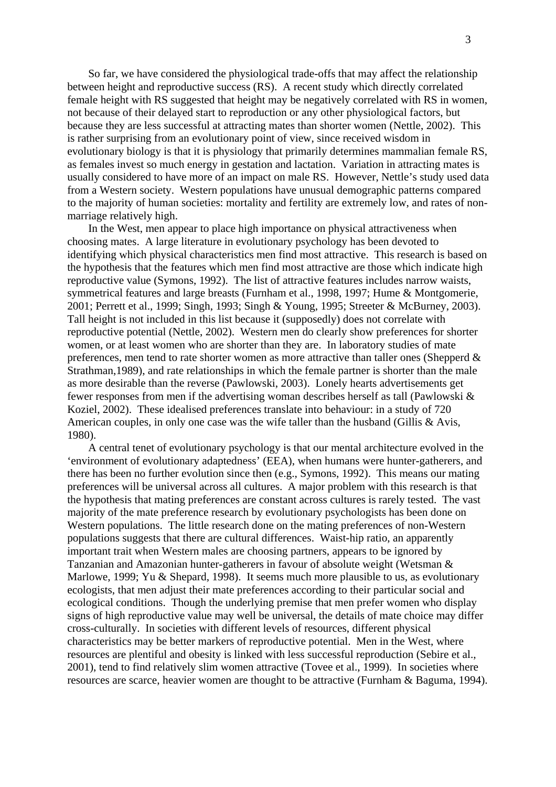So far, we have considered the physiological trade-offs that may affect the relationship between height and reproductive success (RS). A recent study which directly correlated female height with RS suggested that height may be negatively correlated with RS in women, not because of their delayed start to reproduction or any other physiological factors, but because they are less successful at attracting mates than shorter women (Nettle, 2002). This is rather surprising from an evolutionary point of view, since received wisdom in evolutionary biology is that it is physiology that primarily determines mammalian female RS, as females invest so much energy in gestation and lactation. Variation in attracting mates is usually considered to have more of an impact on male RS. However, Nettle's study used data from a Western society. Western populations have unusual demographic patterns compared to the majority of human societies: mortality and fertility are extremely low, and rates of nonmarriage relatively high.

In the West, men appear to place high importance on physical attractiveness when choosing mates. A large literature in evolutionary psychology has been devoted to identifying which physical characteristics men find most attractive. This research is based on the hypothesis that the features which men find most attractive are those which indicate high reproductive value (Symons, 1992). The list of attractive features includes narrow waists, symmetrical features and large breasts (Furnham et al., 1998, 1997; Hume & Montgomerie, 2001; Perrett et al., 1999; Singh, 1993; Singh & Young, 1995; Streeter & McBurney, 2003). Tall height is not included in this list because it (supposedly) does not correlate with reproductive potential (Nettle, 2002). Western men do clearly show preferences for shorter women, or at least women who are shorter than they are. In laboratory studies of mate preferences, men tend to rate shorter women as more attractive than taller ones (Shepperd & Strathman,1989), and rate relationships in which the female partner is shorter than the male as more desirable than the reverse (Pawlowski, 2003). Lonely hearts advertisements get fewer responses from men if the advertising woman describes herself as tall (Pawlowski & Koziel, 2002). These idealised preferences translate into behaviour: in a study of 720 American couples, in only one case was the wife taller than the husband (Gillis & Avis, 1980).

A central tenet of evolutionary psychology is that our mental architecture evolved in the 'environment of evolutionary adaptedness' (EEA), when humans were hunter-gatherers, and there has been no further evolution since then (e.g., Symons, 1992). This means our mating preferences will be universal across all cultures. A major problem with this research is that the hypothesis that mating preferences are constant across cultures is rarely tested. The vast majority of the mate preference research by evolutionary psychologists has been done on Western populations. The little research done on the mating preferences of non-Western populations suggests that there are cultural differences. Waist-hip ratio, an apparently important trait when Western males are choosing partners, appears to be ignored by Tanzanian and Amazonian hunter-gatherers in favour of absolute weight (Wetsman & Marlowe, 1999; Yu & Shepard, 1998). It seems much more plausible to us, as evolutionary ecologists, that men adjust their mate preferences according to their particular social and ecological conditions. Though the underlying premise that men prefer women who display signs of high reproductive value may well be universal, the details of mate choice may differ cross-culturally. In societies with different levels of resources, different physical characteristics may be better markers of reproductive potential. Men in the West, where resources are plentiful and obesity is linked with less successful reproduction (Sebire et al., 2001), tend to find relatively slim women attractive (Tovee et al., 1999). In societies where resources are scarce, heavier women are thought to be attractive (Furnham & Baguma, 1994).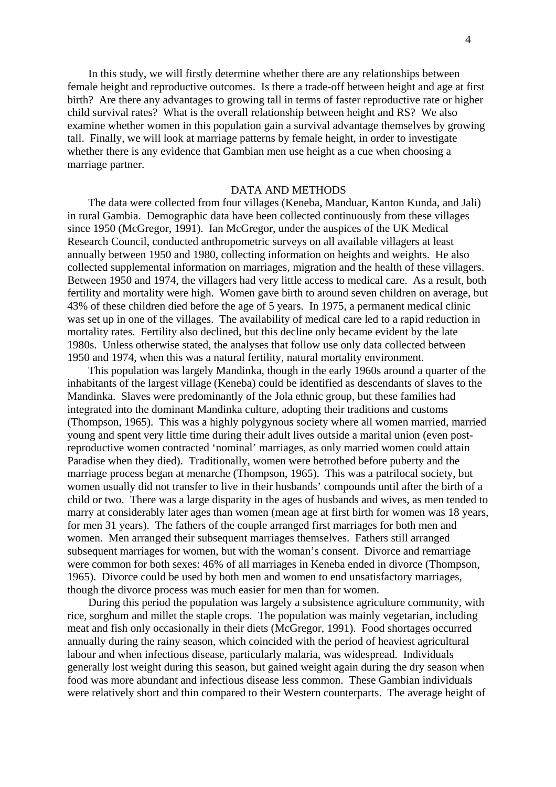In this study, we will firstly determine whether there are any relationships between female height and reproductive outcomes. Is there a trade-off between height and age at first birth? Are there any advantages to growing tall in terms of faster reproductive rate or higher child survival rates? What is the overall relationship between height and RS? We also examine whether women in this population gain a survival advantage themselves by growing tall. Finally, we will look at marriage patterns by female height, in order to investigate whether there is any evidence that Gambian men use height as a cue when choosing a marriage partner.

## DATA AND METHODS

The data were collected from four villages (Keneba, Manduar, Kanton Kunda, and Jali) in rural Gambia. Demographic data have been collected continuously from these villages since 1950 (McGregor, 1991). Ian McGregor, under the auspices of the UK Medical Research Council, conducted anthropometric surveys on all available villagers at least annually between 1950 and 1980, collecting information on heights and weights. He also collected supplemental information on marriages, migration and the health of these villagers. Between 1950 and 1974, the villagers had very little access to medical care. As a result, both fertility and mortality were high. Women gave birth to around seven children on average, but 43% of these children died before the age of 5 years. In 1975, a permanent medical clinic was set up in one of the villages. The availability of medical care led to a rapid reduction in mortality rates. Fertility also declined, but this decline only became evident by the late 1980s. Unless otherwise stated, the analyses that follow use only data collected between 1950 and 1974, when this was a natural fertility, natural mortality environment.

This population was largely Mandinka, though in the early 1960s around a quarter of the inhabitants of the largest village (Keneba) could be identified as descendants of slaves to the Mandinka. Slaves were predominantly of the Jola ethnic group, but these families had integrated into the dominant Mandinka culture, adopting their traditions and customs (Thompson, 1965). This was a highly polygynous society where all women married, married young and spent very little time during their adult lives outside a marital union (even postreproductive women contracted 'nominal' marriages, as only married women could attain Paradise when they died). Traditionally, women were betrothed before puberty and the marriage process began at menarche (Thompson, 1965). This was a patrilocal society, but women usually did not transfer to live in their husbands' compounds until after the birth of a child or two. There was a large disparity in the ages of husbands and wives, as men tended to marry at considerably later ages than women (mean age at first birth for women was 18 years, for men 31 years). The fathers of the couple arranged first marriages for both men and women. Men arranged their subsequent marriages themselves. Fathers still arranged subsequent marriages for women, but with the woman's consent. Divorce and remarriage were common for both sexes: 46% of all marriages in Keneba ended in divorce (Thompson, 1965). Divorce could be used by both men and women to end unsatisfactory marriages, though the divorce process was much easier for men than for women.

During this period the population was largely a subsistence agriculture community, with rice, sorghum and millet the staple crops. The population was mainly vegetarian, including meat and fish only occasionally in their diets (McGregor, 1991). Food shortages occurred annually during the rainy season, which coincided with the period of heaviest agricultural labour and when infectious disease, particularly malaria, was widespread. Individuals generally lost weight during this season, but gained weight again during the dry season when food was more abundant and infectious disease less common. These Gambian individuals were relatively short and thin compared to their Western counterparts. The average height of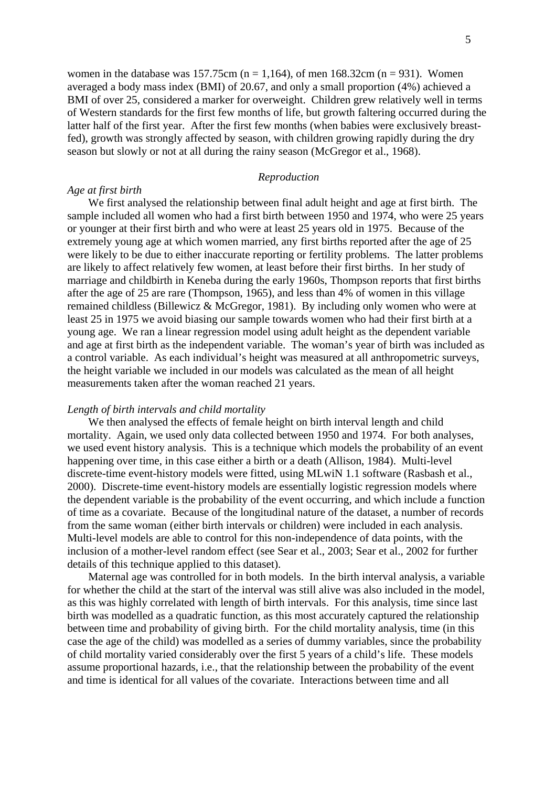women in the database was 157.75cm ( $n = 1,164$ ), of men 168.32cm ( $n = 931$ ). Women averaged a body mass index (BMI) of 20.67, and only a small proportion (4%) achieved a BMI of over 25, considered a marker for overweight. Children grew relatively well in terms of Western standards for the first few months of life, but growth faltering occurred during the latter half of the first year. After the first few months (when babies were exclusively breastfed), growth was strongly affected by season, with children growing rapidly during the dry season but slowly or not at all during the rainy season (McGregor et al., 1968).

#### *Reproduction*

## *Age at first birth*

We first analysed the relationship between final adult height and age at first birth. The sample included all women who had a first birth between 1950 and 1974, who were 25 years or younger at their first birth and who were at least 25 years old in 1975. Because of the extremely young age at which women married, any first births reported after the age of 25 were likely to be due to either inaccurate reporting or fertility problems. The latter problems are likely to affect relatively few women, at least before their first births. In her study of marriage and childbirth in Keneba during the early 1960s, Thompson reports that first births after the age of 25 are rare (Thompson, 1965), and less than 4% of women in this village remained childless (Billewicz & McGregor, 1981). By including only women who were at least 25 in 1975 we avoid biasing our sample towards women who had their first birth at a young age. We ran a linear regression model using adult height as the dependent variable and age at first birth as the independent variable. The woman's year of birth was included as a control variable. As each individual's height was measured at all anthropometric surveys, the height variable we included in our models was calculated as the mean of all height measurements taken after the woman reached 21 years.

#### *Length of birth intervals and child mortality*

We then analysed the effects of female height on birth interval length and child mortality. Again, we used only data collected between 1950 and 1974. For both analyses, we used event history analysis. This is a technique which models the probability of an event happening over time, in this case either a birth or a death (Allison, 1984). Multi-level discrete-time event-history models were fitted, using MLwiN 1.1 software (Rasbash et al., 2000). Discrete-time event-history models are essentially logistic regression models where the dependent variable is the probability of the event occurring, and which include a function of time as a covariate. Because of the longitudinal nature of the dataset, a number of records from the same woman (either birth intervals or children) were included in each analysis. Multi-level models are able to control for this non-independence of data points, with the inclusion of a mother-level random effect (see Sear et al., 2003; Sear et al., 2002 for further details of this technique applied to this dataset).

Maternal age was controlled for in both models. In the birth interval analysis, a variable for whether the child at the start of the interval was still alive was also included in the model, as this was highly correlated with length of birth intervals. For this analysis, time since last birth was modelled as a quadratic function, as this most accurately captured the relationship between time and probability of giving birth. For the child mortality analysis, time (in this case the age of the child) was modelled as a series of dummy variables, since the probability of child mortality varied considerably over the first 5 years of a child's life. These models assume proportional hazards, i.e., that the relationship between the probability of the event and time is identical for all values of the covariate. Interactions between time and all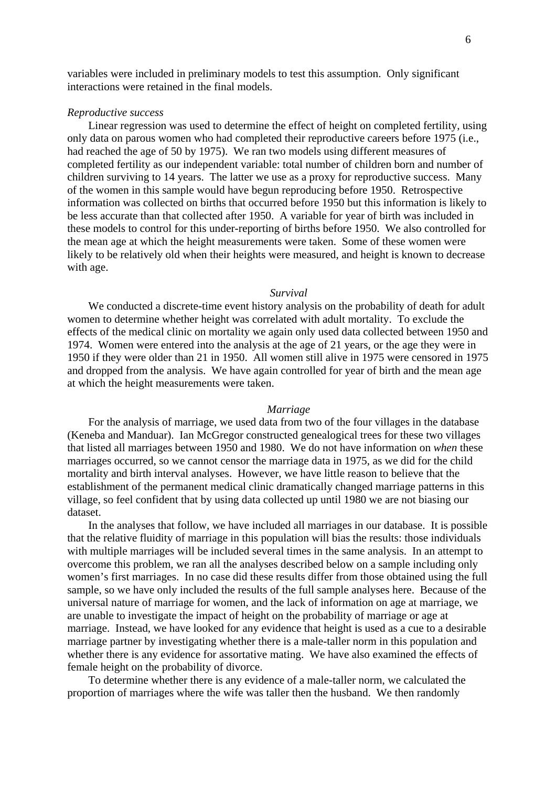variables were included in preliminary models to test this assumption. Only significant interactions were retained in the final models.

#### *Reproductive success*

Linear regression was used to determine the effect of height on completed fertility, using only data on parous women who had completed their reproductive careers before 1975 (i.e., had reached the age of 50 by 1975). We ran two models using different measures of completed fertility as our independent variable: total number of children born and number of children surviving to 14 years. The latter we use as a proxy for reproductive success. Many of the women in this sample would have begun reproducing before 1950. Retrospective information was collected on births that occurred before 1950 but this information is likely to be less accurate than that collected after 1950. A variable for year of birth was included in these models to control for this under-reporting of births before 1950. We also controlled for the mean age at which the height measurements were taken. Some of these women were likely to be relatively old when their heights were measured, and height is known to decrease with age.

#### *Survival*

We conducted a discrete-time event history analysis on the probability of death for adult women to determine whether height was correlated with adult mortality. To exclude the effects of the medical clinic on mortality we again only used data collected between 1950 and 1974. Women were entered into the analysis at the age of 21 years, or the age they were in 1950 if they were older than 21 in 1950. All women still alive in 1975 were censored in 1975 and dropped from the analysis. We have again controlled for year of birth and the mean age at which the height measurements were taken.

#### *Marriage*

For the analysis of marriage, we used data from two of the four villages in the database (Keneba and Manduar). Ian McGregor constructed genealogical trees for these two villages that listed all marriages between 1950 and 1980. We do not have information on *when* these marriages occurred, so we cannot censor the marriage data in 1975, as we did for the child mortality and birth interval analyses. However, we have little reason to believe that the establishment of the permanent medical clinic dramatically changed marriage patterns in this village, so feel confident that by using data collected up until 1980 we are not biasing our dataset.

In the analyses that follow, we have included all marriages in our database. It is possible that the relative fluidity of marriage in this population will bias the results: those individuals with multiple marriages will be included several times in the same analysis. In an attempt to overcome this problem, we ran all the analyses described below on a sample including only women's first marriages. In no case did these results differ from those obtained using the full sample, so we have only included the results of the full sample analyses here. Because of the universal nature of marriage for women, and the lack of information on age at marriage, we are unable to investigate the impact of height on the probability of marriage or age at marriage. Instead, we have looked for any evidence that height is used as a cue to a desirable marriage partner by investigating whether there is a male-taller norm in this population and whether there is any evidence for assortative mating. We have also examined the effects of female height on the probability of divorce.

To determine whether there is any evidence of a male-taller norm, we calculated the proportion of marriages where the wife was taller then the husband. We then randomly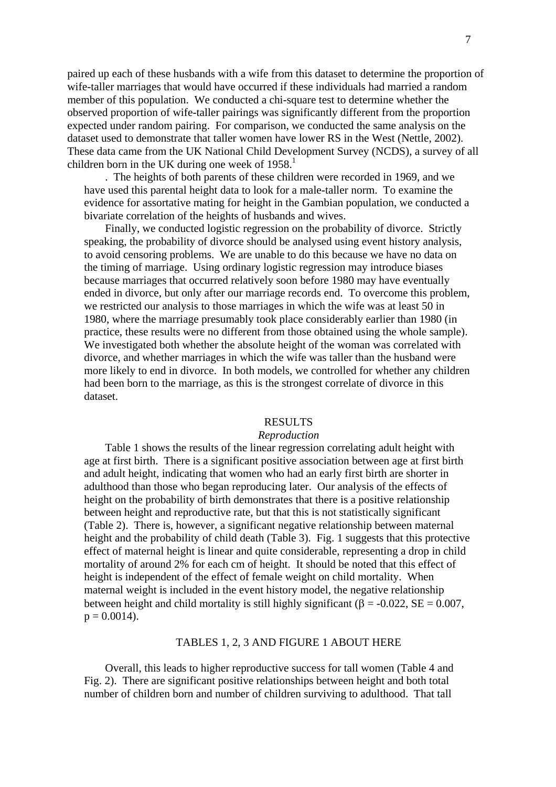paired up each of these husbands with a wife from this dataset to determine the proportion of wife-taller marriages that would have occurred if these individuals had married a random member of this population. We conducted a chi-square test to determine whether the observed proportion of wife-taller pairings was significantly different from the proportion expected under random pairing. For comparison, we conducted the same analysis on the dataset used to demonstrate that taller women have lower RS in the West (Nettle, 2002). These data came from the UK National Child Development Survey (NCDS), a survey of all children born in the UK during one week of  $1958$  $1958$ <sup>1</sup>

. The heights of both parents of these children were recorded in 1969, and we have used this parental height data to look for a male-taller norm. To examine the evidence for assortative mating for height in the Gambian population, we conducted a bivariate correlation of the heights of husbands and wives.

Finally, we conducted logistic regression on the probability of divorce. Strictly speaking, the probability of divorce should be analysed using event history analysis, to avoid censoring problems. We are unable to do this because we have no data on the timing of marriage. Using ordinary logistic regression may introduce biases because marriages that occurred relatively soon before 1980 may have eventually ended in divorce, but only after our marriage records end. To overcome this problem, we restricted our analysis to those marriages in which the wife was at least 50 in 1980, where the marriage presumably took place considerably earlier than 1980 (in practice, these results were no different from those obtained using the whole sample). We investigated both whether the absolute height of the woman was correlated with divorce, and whether marriages in which the wife was taller than the husband were more likely to end in divorce. In both models, we controlled for whether any children had been born to the marriage, as this is the strongest correlate of divorce in this dataset.

#### RESULTS

## *Reproduction*

Table 1 shows the results of the linear regression correlating adult height with age at first birth. There is a significant positive association between age at first birth and adult height, indicating that women who had an early first birth are shorter in adulthood than those who began reproducing later. Our analysis of the effects of height on the probability of birth demonstrates that there is a positive relationship between height and reproductive rate, but that this is not statistically significant (Table 2). There is, however, a significant negative relationship between maternal height and the probability of child death (Table 3). Fig. 1 suggests that this protective effect of maternal height is linear and quite considerable, representing a drop in child mortality of around 2% for each cm of height. It should be noted that this effect of height is independent of the effect of female weight on child mortality. When maternal weight is included in the event history model, the negative relationship between height and child mortality is still highly significant ( $\beta$  = -0.022, SE = 0.007,  $p = 0.0014$ .

## TABLES 1, 2, 3 AND FIGURE 1 ABOUT HERE

Overall, this leads to higher reproductive success for tall women (Table 4 and Fig. 2). There are significant positive relationships between height and both total number of children born and number of children surviving to adulthood. That tall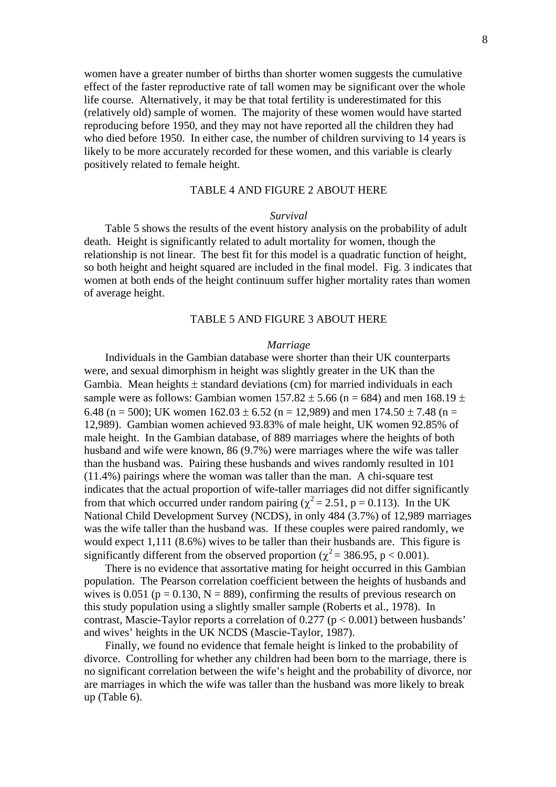women have a greater number of births than shorter women suggests the cumulative effect of the faster reproductive rate of tall women may be significant over the whole life course. Alternatively, it may be that total fertility is underestimated for this (relatively old) sample of women. The majority of these women would have started reproducing before 1950, and they may not have reported all the children they had who died before 1950. In either case, the number of children surviving to 14 years is likely to be more accurately recorded for these women, and this variable is clearly positively related to female height.

## TABLE 4 AND FIGURE 2 ABOUT HERE

#### *Survival*

Table 5 shows the results of the event history analysis on the probability of adult death. Height is significantly related to adult mortality for women, though the relationship is not linear. The best fit for this model is a quadratic function of height, so both height and height squared are included in the final model. Fig. 3 indicates that women at both ends of the height continuum suffer higher mortality rates than women of average height.

## TABLE 5 AND FIGURE 3 ABOUT HERE

#### *Marriage*

Individuals in the Gambian database were shorter than their UK counterparts were, and sexual dimorphism in height was slightly greater in the UK than the Gambia. Mean heights  $\pm$  standard deviations (cm) for married individuals in each sample were as follows: Gambian women  $157.82 \pm 5.66$  (n = 684) and men  $168.19 \pm 10^{-10}$ 6.48 (n = 500); UK women  $162.03 \pm 6.52$  (n = 12,989) and men  $174.50 \pm 7.48$  (n = 12,989). Gambian women achieved 93.83% of male height, UK women 92.85% of male height. In the Gambian database, of 889 marriages where the heights of both husband and wife were known, 86 (9.7%) were marriages where the wife was taller than the husband was. Pairing these husbands and wives randomly resulted in 101 (11.4%) pairings where the woman was taller than the man. A chi-square test indicates that the actual proportion of wife-taller marriages did not differ significantly from that which occurred under random pairing ( $\chi^2 = 2.51$ , p = 0.113). In the UK National Child Development Survey (NCDS), in only 484 (3.7%) of 12,989 marriages was the wife taller than the husband was. If these couples were paired randomly, we would expect 1,111 (8.6%) wives to be taller than their husbands are. This figure is significantly different from the observed proportion ( $\chi^2$  = 386.95, p < 0.001).

There is no evidence that assortative mating for height occurred in this Gambian population. The Pearson correlation coefficient between the heights of husbands and wives is 0.051 ( $p = 0.130$ ,  $N = 889$ ), confirming the results of previous research on this study population using a slightly smaller sample (Roberts et al., 1978). In contrast, Mascie-Taylor reports a correlation of  $0.277$  ( $p < 0.001$ ) between husbands' and wives' heights in the UK NCDS (Mascie-Taylor, 1987).

Finally, we found no evidence that female height is linked to the probability of divorce. Controlling for whether any children had been born to the marriage, there is no significant correlation between the wife's height and the probability of divorce, nor are marriages in which the wife was taller than the husband was more likely to break up (Table 6).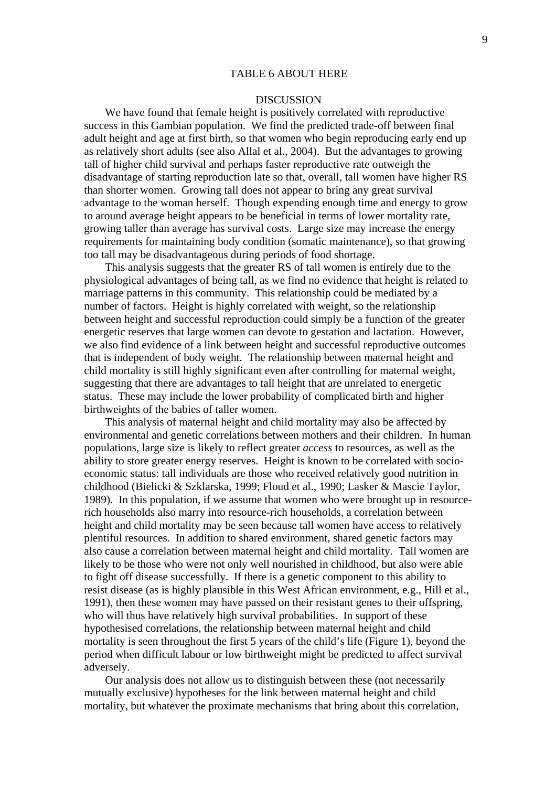#### TABLE 6 ABOUT HERE

## **DISCUSSION**

We have found that female height is positively correlated with reproductive success in this Gambian population. We find the predicted trade-off between final adult height and age at first birth, so that women who begin reproducing early end up as relatively short adults (see also Allal et al., 2004). But the advantages to growing tall of higher child survival and perhaps faster reproductive rate outweigh the disadvantage of starting reproduction late so that, overall, tall women have higher RS than shorter women. Growing tall does not appear to bring any great survival advantage to the woman herself. Though expending enough time and energy to grow to around average height appears to be beneficial in terms of lower mortality rate, growing taller than average has survival costs. Large size may increase the energy requirements for maintaining body condition (somatic maintenance), so that growing too tall may be disadvantageous during periods of food shortage.

This analysis suggests that the greater RS of tall women is entirely due to the physiological advantages of being tall, as we find no evidence that height is related to marriage patterns in this community. This relationship could be mediated by a number of factors. Height is highly correlated with weight, so the relationship between height and successful reproduction could simply be a function of the greater energetic reserves that large women can devote to gestation and lactation. However, we also find evidence of a link between height and successful reproductive outcomes that is independent of body weight. The relationship between maternal height and child mortality is still highly significant even after controlling for maternal weight, suggesting that there are advantages to tall height that are unrelated to energetic status. These may include the lower probability of complicated birth and higher birthweights of the babies of taller women.

This analysis of maternal height and child mortality may also be affected by environmental and genetic correlations between mothers and their children. In human populations, large size is likely to reflect greater *access* to resources, as well as the ability to store greater energy reserves. Height is known to be correlated with socioeconomic status: tall individuals are those who received relatively good nutrition in childhood (Bielicki & Szklarska, 1999; Floud et al., 1990; Lasker & Mascie Taylor, 1989). In this population, if we assume that women who were brought up in resourcerich households also marry into resource-rich households, a correlation between height and child mortality may be seen because tall women have access to relatively plentiful resources. In addition to shared environment, shared genetic factors may also cause a correlation between maternal height and child mortality. Tall women are likely to be those who were not only well nourished in childhood, but also were able to fight off disease successfully. If there is a genetic component to this ability to resist disease (as is highly plausible in this West African environment, e.g., Hill et al., 1991), then these women may have passed on their resistant genes to their offspring, who will thus have relatively high survival probabilities. In support of these hypothesised correlations, the relationship between maternal height and child mortality is seen throughout the first 5 years of the child's life (Figure 1), beyond the period when difficult labour or low birthweight might be predicted to affect survival adversely.

Our analysis does not allow us to distinguish between these (not necessarily mutually exclusive) hypotheses for the link between maternal height and child mortality, but whatever the proximate mechanisms that bring about this correlation,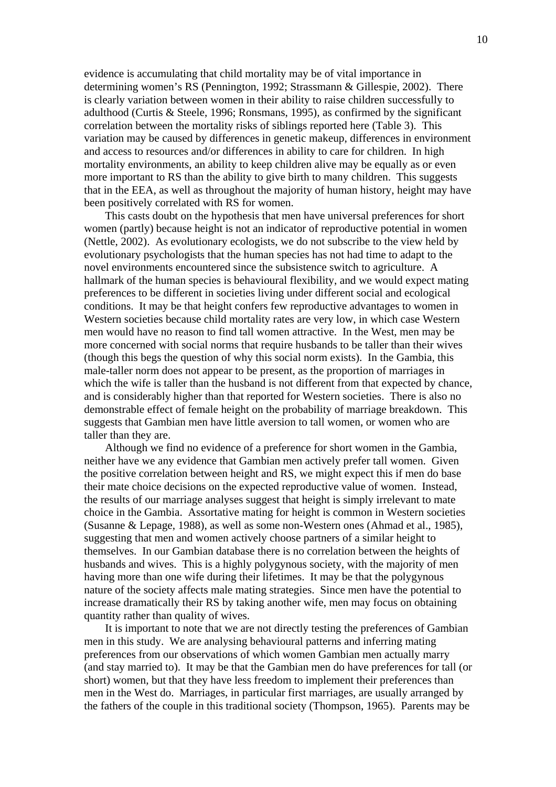evidence is accumulating that child mortality may be of vital importance in determining women's RS (Pennington, 1992; Strassmann & Gillespie, 2002). There is clearly variation between women in their ability to raise children successfully to adulthood (Curtis & Steele, 1996; Ronsmans, 1995), as confirmed by the significant correlation between the mortality risks of siblings reported here (Table 3). This variation may be caused by differences in genetic makeup, differences in environment and access to resources and/or differences in ability to care for children. In high mortality environments, an ability to keep children alive may be equally as or even more important to RS than the ability to give birth to many children. This suggests that in the EEA, as well as throughout the majority of human history, height may have been positively correlated with RS for women.

This casts doubt on the hypothesis that men have universal preferences for short women (partly) because height is not an indicator of reproductive potential in women (Nettle, 2002). As evolutionary ecologists, we do not subscribe to the view held by evolutionary psychologists that the human species has not had time to adapt to the novel environments encountered since the subsistence switch to agriculture. A hallmark of the human species is behavioural flexibility, and we would expect mating preferences to be different in societies living under different social and ecological conditions. It may be that height confers few reproductive advantages to women in Western societies because child mortality rates are very low, in which case Western men would have no reason to find tall women attractive. In the West, men may be more concerned with social norms that require husbands to be taller than their wives (though this begs the question of why this social norm exists). In the Gambia, this male-taller norm does not appear to be present, as the proportion of marriages in which the wife is taller than the husband is not different from that expected by chance, and is considerably higher than that reported for Western societies. There is also no demonstrable effect of female height on the probability of marriage breakdown. This suggests that Gambian men have little aversion to tall women, or women who are taller than they are.

Although we find no evidence of a preference for short women in the Gambia, neither have we any evidence that Gambian men actively prefer tall women. Given the positive correlation between height and RS, we might expect this if men do base their mate choice decisions on the expected reproductive value of women. Instead, the results of our marriage analyses suggest that height is simply irrelevant to mate choice in the Gambia. Assortative mating for height is common in Western societies (Susanne & Lepage, 1988), as well as some non-Western ones (Ahmad et al., 1985), suggesting that men and women actively choose partners of a similar height to themselves. In our Gambian database there is no correlation between the heights of husbands and wives. This is a highly polygynous society, with the majority of men having more than one wife during their lifetimes. It may be that the polygynous nature of the society affects male mating strategies. Since men have the potential to increase dramatically their RS by taking another wife, men may focus on obtaining quantity rather than quality of wives.

It is important to note that we are not directly testing the preferences of Gambian men in this study. We are analysing behavioural patterns and inferring mating preferences from our observations of which women Gambian men actually marry (and stay married to). It may be that the Gambian men do have preferences for tall (or short) women, but that they have less freedom to implement their preferences than men in the West do. Marriages, in particular first marriages, are usually arranged by the fathers of the couple in this traditional society (Thompson, 1965). Parents may be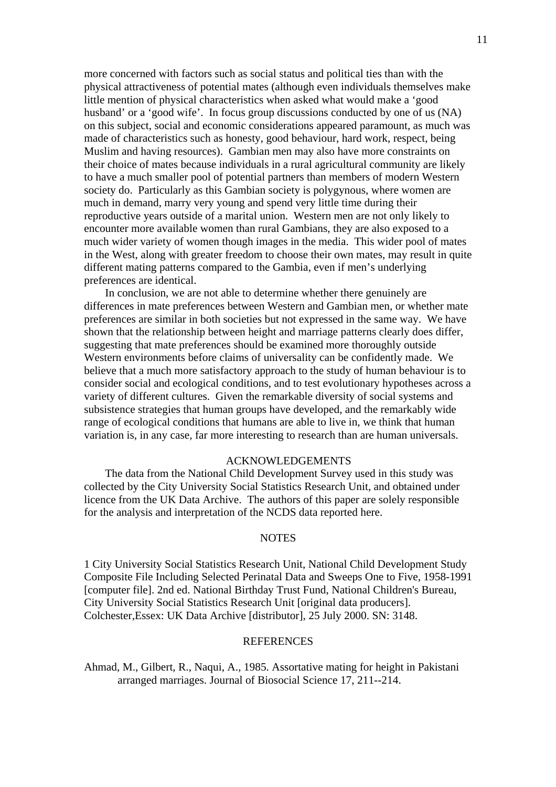more concerned with factors such as social status and political ties than with the physical attractiveness of potential mates (although even individuals themselves make little mention of physical characteristics when asked what would make a 'good husband' or a 'good wife'. In focus group discussions conducted by one of us (NA) on this subject, social and economic considerations appeared paramount, as much was made of characteristics such as honesty, good behaviour, hard work, respect, being Muslim and having resources). Gambian men may also have more constraints on their choice of mates because individuals in a rural agricultural community are likely to have a much smaller pool of potential partners than members of modern Western society do. Particularly as this Gambian society is polygynous, where women are much in demand, marry very young and spend very little time during their reproductive years outside of a marital union. Western men are not only likely to encounter more available women than rural Gambians, they are also exposed to a much wider variety of women though images in the media. This wider pool of mates in the West, along with greater freedom to choose their own mates, may result in quite different mating patterns compared to the Gambia, even if men's underlying preferences are identical.

In conclusion, we are not able to determine whether there genuinely are differences in mate preferences between Western and Gambian men, or whether mate preferences are similar in both societies but not expressed in the same way. We have shown that the relationship between height and marriage patterns clearly does differ, suggesting that mate preferences should be examined more thoroughly outside Western environments before claims of universality can be confidently made. We believe that a much more satisfactory approach to the study of human behaviour is to consider social and ecological conditions, and to test evolutionary hypotheses across a variety of different cultures. Given the remarkable diversity of social systems and subsistence strategies that human groups have developed, and the remarkably wide range of ecological conditions that humans are able to live in, we think that human variation is, in any case, far more interesting to research than are human universals.

#### ACKNOWLEDGEMENTS

The data from the National Child Development Survey used in this study was collected by the City University Social Statistics Research Unit, and obtained under licence from the UK Data Archive. The authors of this paper are solely responsible for the analysis and interpretation of the NCDS data reported here.

## **NOTES**

1 City University Social Statistics Research Unit, National Child Development Study Composite File Including Selected Perinatal Data and Sweeps One to Five, 1958-1991 [computer file]. 2nd ed. National Birthday Trust Fund, National Children's Bureau, City University Social Statistics Research Unit [original data producers]. Colchester,Essex: UK Data Archive [distributor], 25 July 2000. SN: 3148.

## **REFERENCES**

Ahmad, M., Gilbert, R., Naqui, A., 1985. Assortative mating for height in Pakistani arranged marriages. Journal of Biosocial Science 17, 211--214.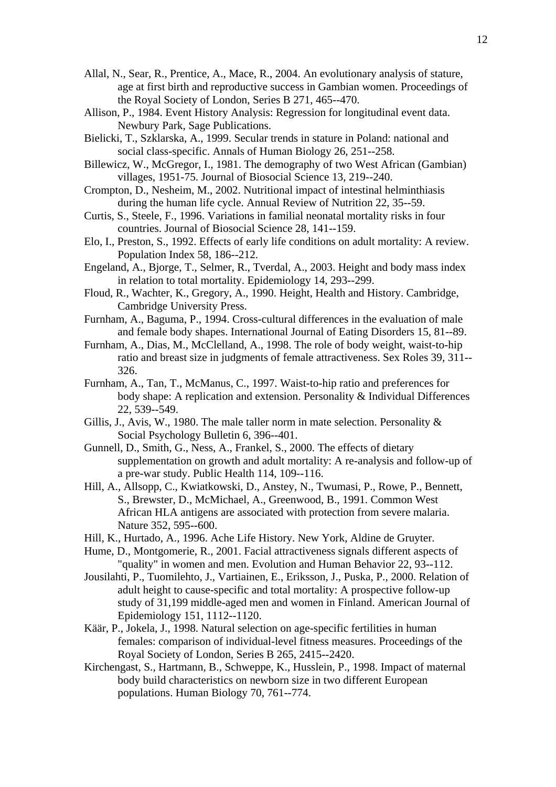- Allal, N., Sear, R., Prentice, A., Mace, R., 2004. An evolutionary analysis of stature, age at first birth and reproductive success in Gambian women. Proceedings of the Royal Society of London, Series B 271, 465--470.
- Allison, P., 1984. Event History Analysis: Regression for longitudinal event data. Newbury Park, Sage Publications.
- Bielicki, T., Szklarska, A., 1999. Secular trends in stature in Poland: national and social class-specific. Annals of Human Biology 26, 251--258.
- Billewicz, W., McGregor, I., 1981. The demography of two West African (Gambian) villages, 1951-75. Journal of Biosocial Science 13, 219--240.
- Crompton, D., Nesheim, M., 2002. Nutritional impact of intestinal helminthiasis during the human life cycle. Annual Review of Nutrition 22, 35--59.
- Curtis, S., Steele, F., 1996. Variations in familial neonatal mortality risks in four countries. Journal of Biosocial Science 28, 141--159.
- Elo, I., Preston, S., 1992. Effects of early life conditions on adult mortality: A review. Population Index 58, 186--212.
- Engeland, A., Bjorge, T., Selmer, R., Tverdal, A., 2003. Height and body mass index in relation to total mortality. Epidemiology 14, 293--299.
- Floud, R., Wachter, K., Gregory, A., 1990. Height, Health and History. Cambridge, Cambridge University Press.
- Furnham, A., Baguma, P., 1994. Cross-cultural differences in the evaluation of male and female body shapes. International Journal of Eating Disorders 15, 81--89.
- Furnham, A., Dias, M., McClelland, A., 1998. The role of body weight, waist-to-hip ratio and breast size in judgments of female attractiveness. Sex Roles 39, 311-- 326.
- Furnham, A., Tan, T., McManus, C., 1997. Waist-to-hip ratio and preferences for body shape: A replication and extension. Personality & Individual Differences 22, 539--549.
- Gillis, J., Avis, W., 1980. The male taller norm in mate selection. Personality & Social Psychology Bulletin 6, 396--401.
- Gunnell, D., Smith, G., Ness, A., Frankel, S., 2000. The effects of dietary supplementation on growth and adult mortality: A re-analysis and follow-up of a pre-war study. Public Health 114, 109--116.
- Hill, A., Allsopp, C., Kwiatkowski, D., Anstey, N., Twumasi, P., Rowe, P., Bennett, S., Brewster, D., McMichael, A., Greenwood, B., 1991. Common West African HLA antigens are associated with protection from severe malaria. Nature 352, 595--600.
- Hill, K., Hurtado, A., 1996. Ache Life History. New York, Aldine de Gruyter.
- Hume, D., Montgomerie, R., 2001. Facial attractiveness signals different aspects of "quality" in women and men. Evolution and Human Behavior 22, 93--112.
- Jousilahti, P., Tuomilehto, J., Vartiainen, E., Eriksson, J., Puska, P., 2000. Relation of adult height to cause-specific and total mortality: A prospective follow-up study of 31,199 middle-aged men and women in Finland. American Journal of Epidemiology 151, 1112--1120.
- Käär, P., Jokela, J., 1998. Natural selection on age-specific fertilities in human females: comparison of individual-level fitness measures. Proceedings of the Royal Society of London, Series B 265, 2415--2420.
- Kirchengast, S., Hartmann, B., Schweppe, K., Husslein, P., 1998. Impact of maternal body build characteristics on newborn size in two different European populations. Human Biology 70, 761--774.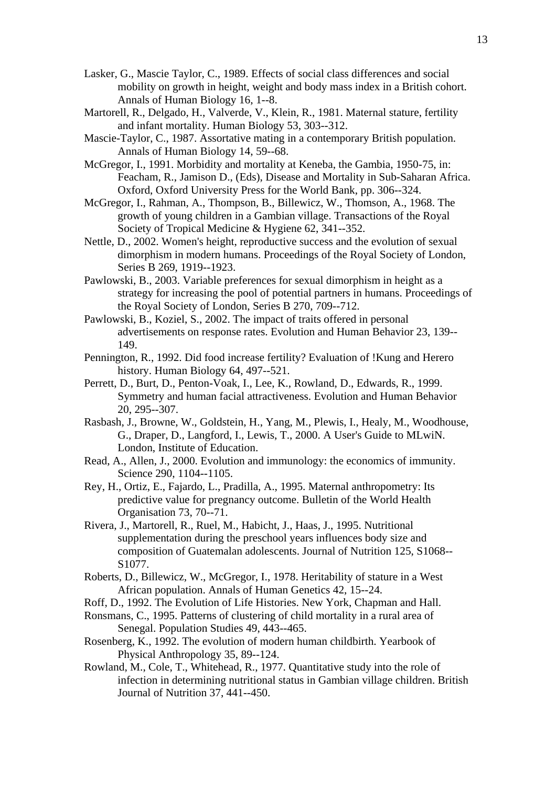- Lasker, G., Mascie Taylor, C., 1989. Effects of social class differences and social mobility on growth in height, weight and body mass index in a British cohort. Annals of Human Biology 16, 1--8.
- Martorell, R., Delgado, H., Valverde, V., Klein, R., 1981. Maternal stature, fertility and infant mortality. Human Biology 53, 303--312.
- Mascie-Taylor, C., 1987. Assortative mating in a contemporary British population. Annals of Human Biology 14, 59--68.
- McGregor, I., 1991. Morbidity and mortality at Keneba, the Gambia, 1950-75, in: Feacham, R., Jamison D., (Eds), Disease and Mortality in Sub-Saharan Africa. Oxford, Oxford University Press for the World Bank, pp. 306--324.
- McGregor, I., Rahman, A., Thompson, B., Billewicz, W., Thomson, A., 1968. The growth of young children in a Gambian village. Transactions of the Royal Society of Tropical Medicine & Hygiene 62, 341--352.
- Nettle, D., 2002. Women's height, reproductive success and the evolution of sexual dimorphism in modern humans. Proceedings of the Royal Society of London, Series B 269, 1919--1923.
- Pawlowski, B., 2003. Variable preferences for sexual dimorphism in height as a strategy for increasing the pool of potential partners in humans. Proceedings of the Royal Society of London, Series B 270, 709--712.
- Pawlowski, B., Koziel, S., 2002. The impact of traits offered in personal advertisements on response rates. Evolution and Human Behavior 23, 139-- 149.
- Pennington, R., 1992. Did food increase fertility? Evaluation of !Kung and Herero history. Human Biology 64, 497--521.
- Perrett, D., Burt, D., Penton-Voak, I., Lee, K., Rowland, D., Edwards, R., 1999. Symmetry and human facial attractiveness. Evolution and Human Behavior 20, 295--307.
- Rasbash, J., Browne, W., Goldstein, H., Yang, M., Plewis, I., Healy, M., Woodhouse, G., Draper, D., Langford, I., Lewis, T., 2000. A User's Guide to MLwiN. London, Institute of Education.
- Read, A., Allen, J., 2000. Evolution and immunology: the economics of immunity. Science 290, 1104--1105.
- Rey, H., Ortiz, E., Fajardo, L., Pradilla, A., 1995. Maternal anthropometry: Its predictive value for pregnancy outcome. Bulletin of the World Health Organisation 73, 70--71.
- Rivera, J., Martorell, R., Ruel, M., Habicht, J., Haas, J., 1995. Nutritional supplementation during the preschool years influences body size and composition of Guatemalan adolescents. Journal of Nutrition 125, S1068-- S1077.
- Roberts, D., Billewicz, W., McGregor, I., 1978. Heritability of stature in a West African population. Annals of Human Genetics 42, 15--24.
- Roff, D., 1992. The Evolution of Life Histories. New York, Chapman and Hall.
- Ronsmans, C., 1995. Patterns of clustering of child mortality in a rural area of Senegal. Population Studies 49, 443--465.
- Rosenberg, K., 1992. The evolution of modern human childbirth. Yearbook of Physical Anthropology 35, 89--124.
- Rowland, M., Cole, T., Whitehead, R., 1977. Quantitative study into the role of infection in determining nutritional status in Gambian village children. British Journal of Nutrition 37, 441--450.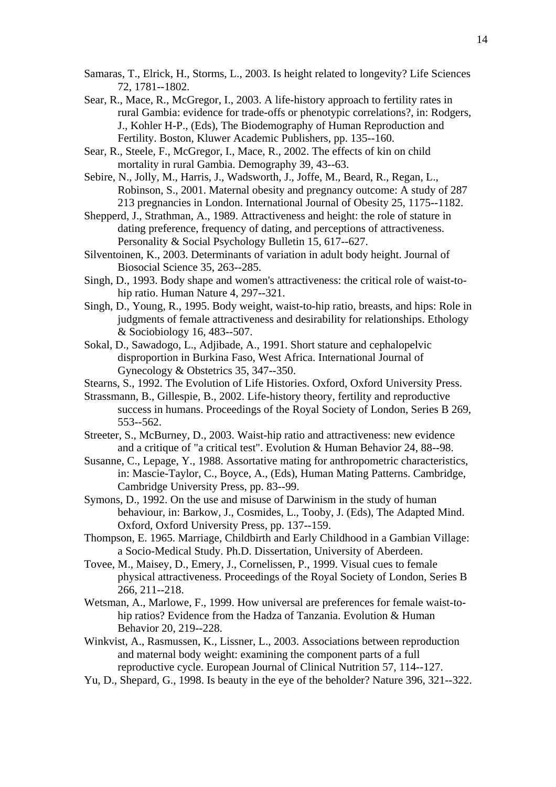- Samaras, T., Elrick, H., Storms, L., 2003. Is height related to longevity? Life Sciences 72, 1781--1802.
- Sear, R., Mace, R., McGregor, I., 2003. A life-history approach to fertility rates in rural Gambia: evidence for trade-offs or phenotypic correlations?, in: Rodgers, J., Kohler H-P., (Eds), The Biodemography of Human Reproduction and Fertility. Boston, Kluwer Academic Publishers, pp. 135--160.
- Sear, R., Steele, F., McGregor, I., Mace, R., 2002. The effects of kin on child mortality in rural Gambia. Demography 39, 43--63.
- Sebire, N., Jolly, M., Harris, J., Wadsworth, J., Joffe, M., Beard, R., Regan, L., Robinson, S., 2001. Maternal obesity and pregnancy outcome: A study of 287 213 pregnancies in London. International Journal of Obesity 25, 1175--1182.
- Shepperd, J., Strathman, A., 1989. Attractiveness and height: the role of stature in dating preference, frequency of dating, and perceptions of attractiveness. Personality & Social Psychology Bulletin 15, 617--627.
- Silventoinen, K., 2003. Determinants of variation in adult body height. Journal of Biosocial Science 35, 263--285.
- Singh, D., 1993. Body shape and women's attractiveness: the critical role of waist-tohip ratio. Human Nature 4, 297--321.
- Singh, D., Young, R., 1995. Body weight, waist-to-hip ratio, breasts, and hips: Role in judgments of female attractiveness and desirability for relationships. Ethology & Sociobiology 16, 483--507.
- Sokal, D., Sawadogo, L., Adjibade, A., 1991. Short stature and cephalopelvic disproportion in Burkina Faso, West Africa. International Journal of Gynecology & Obstetrics 35, 347--350.
- Stearns, S., 1992. The Evolution of Life Histories. Oxford, Oxford University Press.
- Strassmann, B., Gillespie, B., 2002. Life-history theory, fertility and reproductive success in humans. Proceedings of the Royal Society of London, Series B 269, 553--562.
- Streeter, S., McBurney, D., 2003. Waist-hip ratio and attractiveness: new evidence and a critique of "a critical test". Evolution & Human Behavior 24, 88--98.
- Susanne, C., Lepage, Y., 1988. Assortative mating for anthropometric characteristics, in: Mascie-Taylor, C., Boyce, A., (Eds), Human Mating Patterns. Cambridge, Cambridge University Press, pp. 83--99.
- Symons, D., 1992. On the use and misuse of Darwinism in the study of human behaviour, in: Barkow, J., Cosmides, L., Tooby, J. (Eds), The Adapted Mind. Oxford, Oxford University Press, pp. 137--159.
- Thompson, E. 1965. Marriage, Childbirth and Early Childhood in a Gambian Village: a Socio-Medical Study. Ph.D. Dissertation, University of Aberdeen.
- Tovee, M., Maisey, D., Emery, J., Cornelissen, P., 1999. Visual cues to female physical attractiveness. Proceedings of the Royal Society of London, Series B 266, 211--218.
- Wetsman, A., Marlowe, F., 1999. How universal are preferences for female waist-tohip ratios? Evidence from the Hadza of Tanzania. Evolution & Human Behavior 20, 219--228.
- Winkvist, A., Rasmussen, K., Lissner, L., 2003. Associations between reproduction and maternal body weight: examining the component parts of a full reproductive cycle. European Journal of Clinical Nutrition 57, 114--127.
- Yu, D., Shepard, G., 1998. Is beauty in the eye of the beholder? Nature 396, 321--322.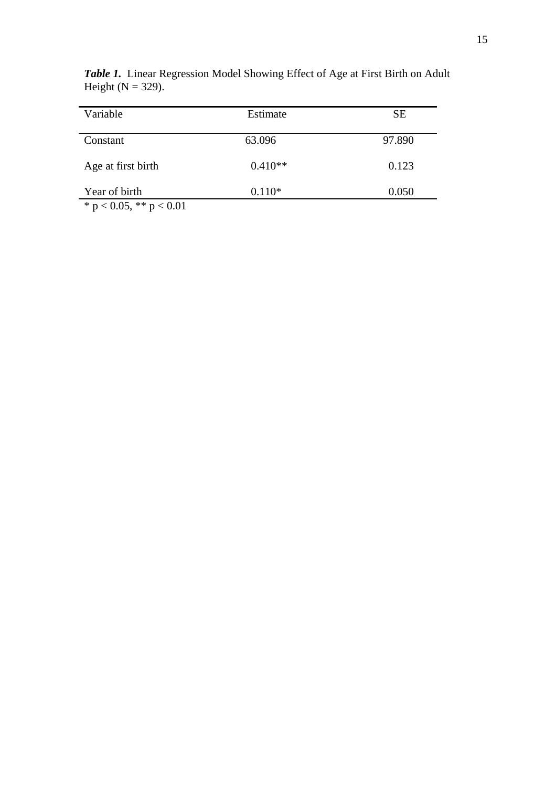| Variable           | Estimate  | <b>SE</b> |
|--------------------|-----------|-----------|
| Constant           | 63.096    | 97.890    |
| Age at first birth | $0.410**$ | 0.123     |
| Year of birth      | $0.110*$  | 0.050     |

*Table 1.* Linear Regression Model Showing Effect of Age at First Birth on Adult Height ( $N = 329$ ).

\* p < 0.05, \*\* p < 0.01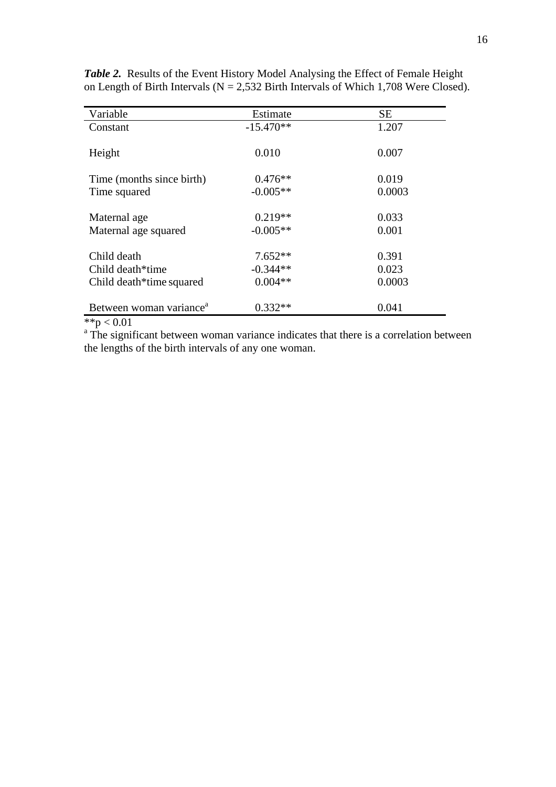| Variable                            | Estimate    | <b>SE</b> |
|-------------------------------------|-------------|-----------|
| Constant                            | $-15.470**$ | 1.207     |
|                                     |             |           |
| Height                              | 0.010       | 0.007     |
|                                     |             |           |
| Time (months since birth)           | $0.476**$   | 0.019     |
| Time squared                        | $-0.005**$  | 0.0003    |
|                                     |             |           |
| Maternal age                        | $0.219**$   | 0.033     |
| Maternal age squared                | $-0.005**$  | 0.001     |
|                                     |             |           |
| Child death                         | $7.652**$   | 0.391     |
| Child death*time                    | $-0.344**$  | 0.023     |
| Child death*time squared            | $0.004**$   | 0.0003    |
|                                     |             |           |
| Between woman variance <sup>a</sup> | $0.332**$   | 0.041     |
| 44.7001                             |             |           |

*Table 2.* Results of the Event History Model Analysing the Effect of Female Height on Length of Birth Intervals ( $N = 2,532$  Birth Intervals of Which 1,708 Were Closed).

 $*$  $p$  < 0.01

<sup>a</sup> The significant between woman variance indicates that there is a correlation between the lengths of the birth intervals of any one woman.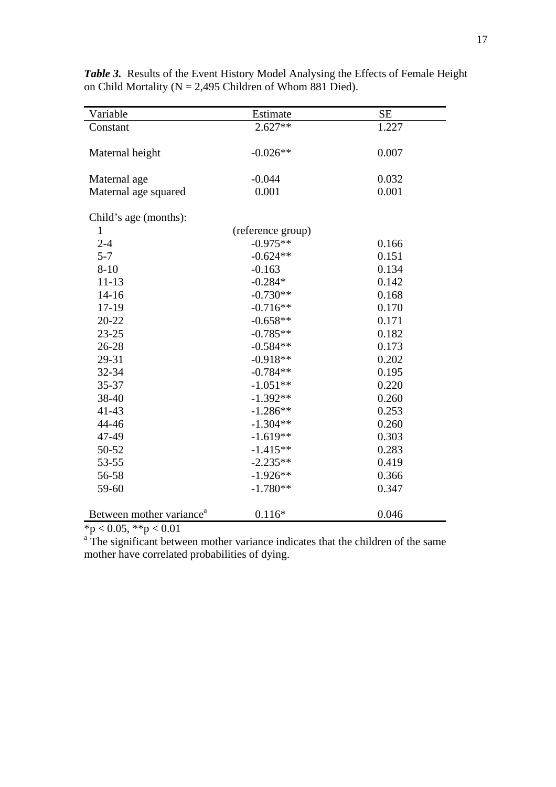| Variable                             | Estimate          | <b>SE</b> |
|--------------------------------------|-------------------|-----------|
| Constant                             | $2.627**$         | 1.227     |
|                                      |                   |           |
| Maternal height                      | $-0.026**$        | 0.007     |
|                                      |                   |           |
| Maternal age                         | $-0.044$          | 0.032     |
| Maternal age squared                 | 0.001             | 0.001     |
|                                      |                   |           |
| Child's age (months):                |                   |           |
| $\mathbf{1}$                         | (reference group) |           |
| $2 - 4$                              | $-0.975**$        | 0.166     |
| $5 - 7$                              | $-0.624**$        | 0.151     |
| $8 - 10$                             | $-0.163$          | 0.134     |
| $11 - 13$                            | $-0.284*$         | 0.142     |
| $14 - 16$                            | $-0.730**$        | 0.168     |
| 17-19                                | $-0.716**$        | 0.170     |
| 20-22                                | $-0.658**$        | 0.171     |
| $23 - 25$                            | $-0.785**$        | 0.182     |
| 26-28                                | $-0.584**$        | 0.173     |
| 29-31                                | $-0.918**$        | 0.202     |
| 32-34                                | $-0.784**$        | 0.195     |
| 35-37                                | $-1.051**$        | 0.220     |
| 38-40                                | $-1.392**$        | 0.260     |
| $41 - 43$                            | $-1.286**$        | 0.253     |
| 44-46                                | $-1.304**$        | 0.260     |
| 47-49                                | $-1.619**$        | 0.303     |
| 50-52                                | $-1.415**$        | 0.283     |
| 53-55                                | $-2.235**$        | 0.419     |
| 56-58                                | $-1.926**$        | 0.366     |
| 59-60                                | $-1.780**$        | 0.347     |
|                                      |                   |           |
| Between mother variance <sup>a</sup> | $0.116*$          | 0.046     |

*Table 3.* Results of the Event History Model Analysing the Effects of Female Height on Child Mortality ( $N = 2,495$  Children of Whom 881 Died).

 $np < 0.05$ ,  $*p < 0.01$ <br><sup>a</sup> The significant between mother variance indicates that the children of the same mother have correlated probabilities of dying.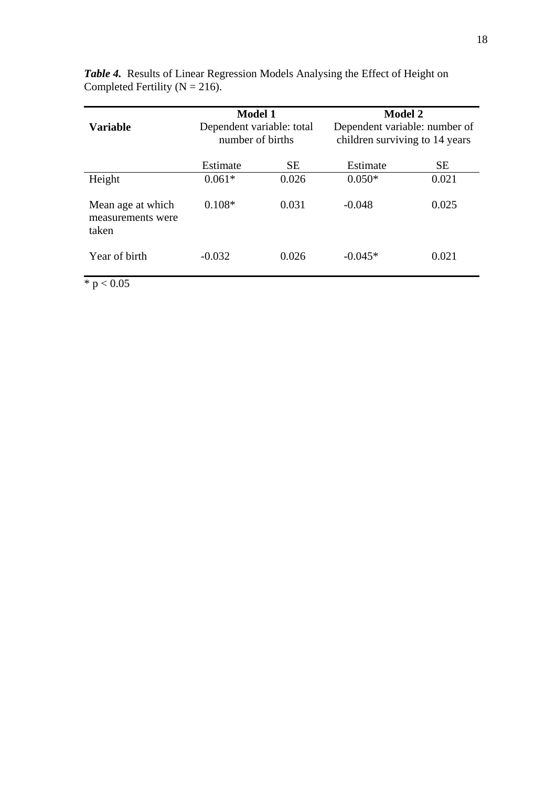| <b>Variable</b>                                 | <b>Model 1</b><br>Dependent variable: total<br>number of births |           | <b>Model 2</b><br>Dependent variable: number of<br>children surviving to 14 years |           |
|-------------------------------------------------|-----------------------------------------------------------------|-----------|-----------------------------------------------------------------------------------|-----------|
|                                                 | Estimate                                                        | <b>SE</b> | Estimate                                                                          | <b>SE</b> |
| Height                                          | $0.061*$                                                        | 0.026     | $0.050*$                                                                          | 0.021     |
| Mean age at which<br>measurements were<br>taken | $0.108*$                                                        | 0.031     | $-0.048$                                                                          | 0.025     |
| Year of birth                                   | $-0.032$                                                        | 0.026     | $-0.045*$                                                                         | 0.021     |

*Table 4.* Results of Linear Regression Models Analysing the Effect of Height on Completed Fertility ( $N = 216$ ).

 $\ast$  p  $< 0.05$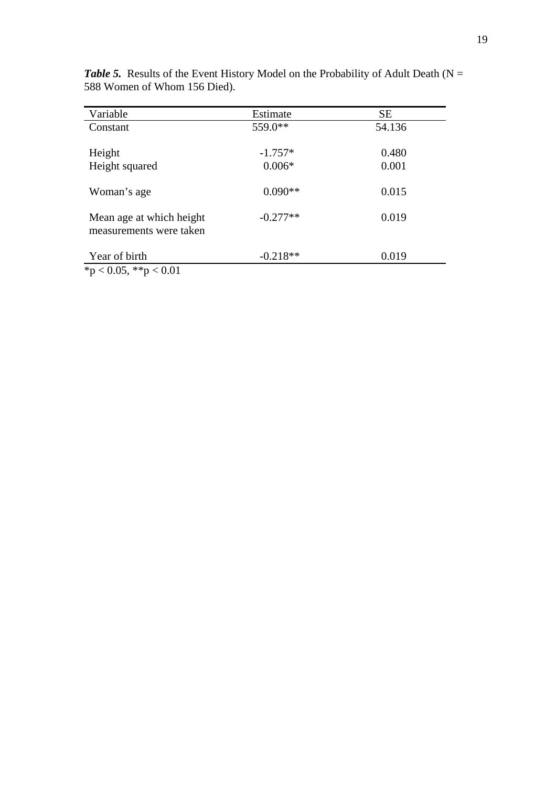| Variable                                            | Estimate   | <b>SE</b> |
|-----------------------------------------------------|------------|-----------|
| Constant                                            | 559.0**    | 54.136    |
| Height                                              | $-1.757*$  | 0.480     |
| Height squared                                      | $0.006*$   | 0.001     |
| Woman's age                                         | $0.090**$  | 0.015     |
| Mean age at which height<br>measurements were taken | $-0.277**$ | 0.019     |
| Year of birth                                       | $-0.218**$ | 0.019     |

**Table 5.** Results of the Event History Model on the Probability of Adult Death ( $N =$ 588 Women of Whom 156 Died).

 $\frac{1}{2}$  \*p < 0.05, \*\*p < 0.01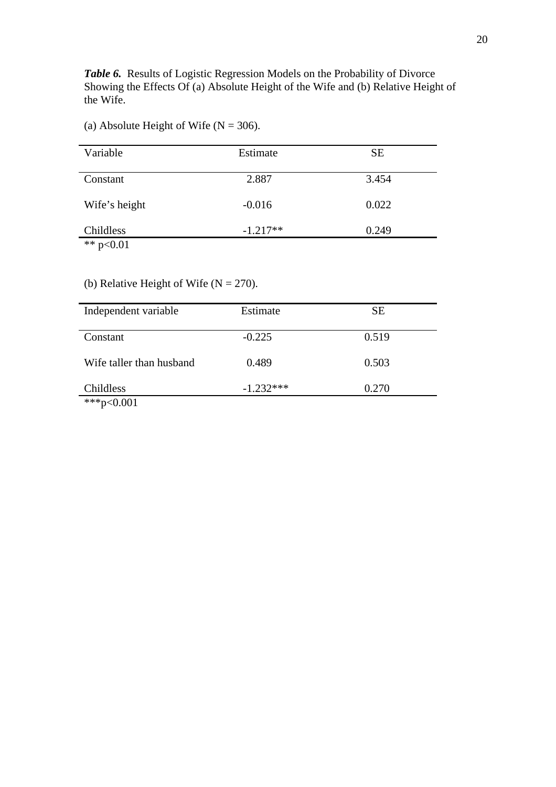Table 6. Results of Logistic Regression Models on the Probability of Divorce Showing the Effects Of (a) Absolute Height of the Wife and (b) Relative Height of the Wife.

# (a) Absolute Height of Wife ( $N = 306$ ).

| Variable      | Estimate   | <b>SE</b> |  |
|---------------|------------|-----------|--|
| Constant      | 2.887      | 3.454     |  |
| Wife's height | $-0.016$   | 0.022     |  |
| Childless     | $-1.217**$ | 0.249     |  |
| 44.001        |            |           |  |

\*\*  $p<0.01$ 

# (b) Relative Height of Wife ( $N = 270$ ).

| Independent variable     | Estimate    | <b>SE</b> |
|--------------------------|-------------|-----------|
| Constant                 | $-0.225$    | 0.519     |
| Wife taller than husband | 0.489       | 0.503     |
| Childless                | $-1.232***$ | 0.270     |
| ***p<0.001               |             |           |

20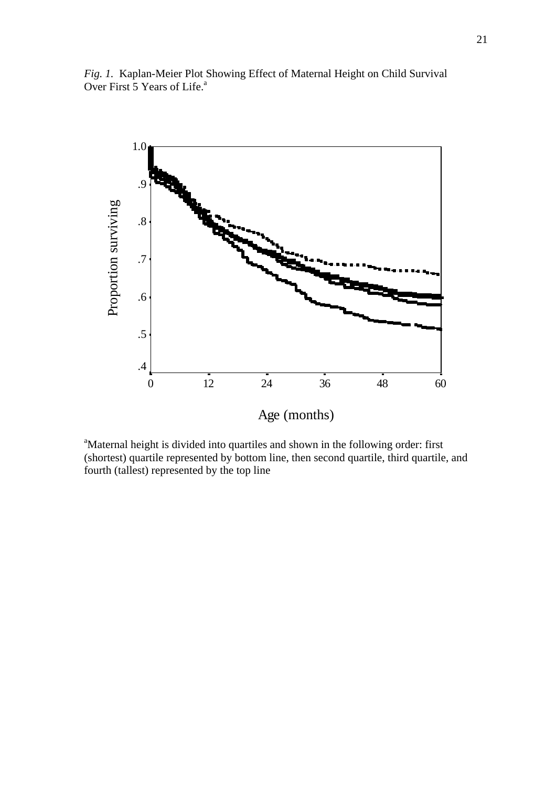



Age (months)

<sup>a</sup>Maternal height is divided into quartiles and shown in the following order: first (shortest) quartile represented by bottom line, then second quartile, third quartile, and fourth (tallest) represented by the top line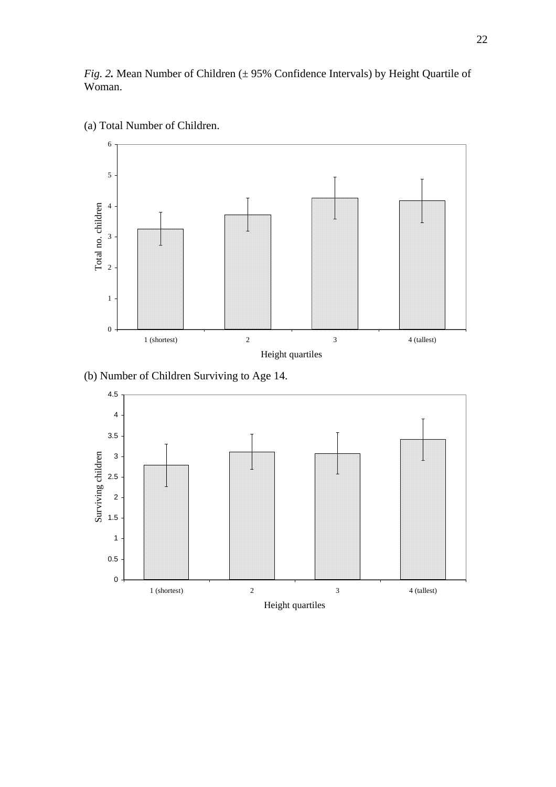*Fig. 2*. Mean Number of Children ( $\pm$  95% Confidence Intervals) by Height Quartile of Woman.



(a) Total Number of Children.

(b) Number of Children Surviving to Age 14.